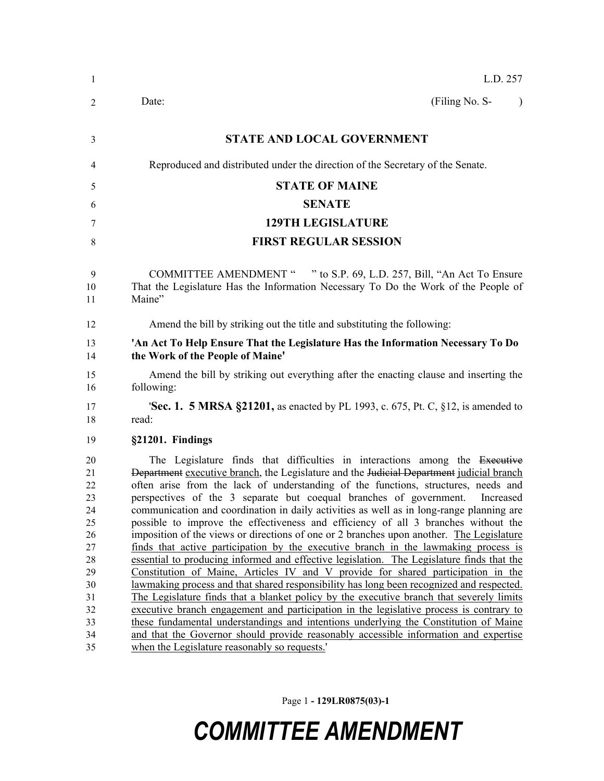| -1                                                                                           | L.D. 257                                                                                                                                                                                                                                                                                                                                                                                                                                                                                                                                                                                                                                                                                                                                                                                                                                                                                                                                                                                                                                                                                                                                                                                                                                                                                                                                                                                                                   |
|----------------------------------------------------------------------------------------------|----------------------------------------------------------------------------------------------------------------------------------------------------------------------------------------------------------------------------------------------------------------------------------------------------------------------------------------------------------------------------------------------------------------------------------------------------------------------------------------------------------------------------------------------------------------------------------------------------------------------------------------------------------------------------------------------------------------------------------------------------------------------------------------------------------------------------------------------------------------------------------------------------------------------------------------------------------------------------------------------------------------------------------------------------------------------------------------------------------------------------------------------------------------------------------------------------------------------------------------------------------------------------------------------------------------------------------------------------------------------------------------------------------------------------|
| 2                                                                                            | (Filing No. S-<br>Date:<br>$\lambda$                                                                                                                                                                                                                                                                                                                                                                                                                                                                                                                                                                                                                                                                                                                                                                                                                                                                                                                                                                                                                                                                                                                                                                                                                                                                                                                                                                                       |
| 3                                                                                            | <b>STATE AND LOCAL GOVERNMENT</b>                                                                                                                                                                                                                                                                                                                                                                                                                                                                                                                                                                                                                                                                                                                                                                                                                                                                                                                                                                                                                                                                                                                                                                                                                                                                                                                                                                                          |
| 4                                                                                            | Reproduced and distributed under the direction of the Secretary of the Senate.                                                                                                                                                                                                                                                                                                                                                                                                                                                                                                                                                                                                                                                                                                                                                                                                                                                                                                                                                                                                                                                                                                                                                                                                                                                                                                                                             |
| 5                                                                                            | <b>STATE OF MAINE</b>                                                                                                                                                                                                                                                                                                                                                                                                                                                                                                                                                                                                                                                                                                                                                                                                                                                                                                                                                                                                                                                                                                                                                                                                                                                                                                                                                                                                      |
| 6                                                                                            | <b>SENATE</b>                                                                                                                                                                                                                                                                                                                                                                                                                                                                                                                                                                                                                                                                                                                                                                                                                                                                                                                                                                                                                                                                                                                                                                                                                                                                                                                                                                                                              |
| 7                                                                                            | <b>129TH LEGISLATURE</b>                                                                                                                                                                                                                                                                                                                                                                                                                                                                                                                                                                                                                                                                                                                                                                                                                                                                                                                                                                                                                                                                                                                                                                                                                                                                                                                                                                                                   |
| 8                                                                                            | <b>FIRST REGULAR SESSION</b>                                                                                                                                                                                                                                                                                                                                                                                                                                                                                                                                                                                                                                                                                                                                                                                                                                                                                                                                                                                                                                                                                                                                                                                                                                                                                                                                                                                               |
| 9<br>10<br>11                                                                                | COMMITTEE AMENDMENT " " to S.P. 69, L.D. 257, Bill, "An Act To Ensure<br>That the Legislature Has the Information Necessary To Do the Work of the People of<br>Maine"                                                                                                                                                                                                                                                                                                                                                                                                                                                                                                                                                                                                                                                                                                                                                                                                                                                                                                                                                                                                                                                                                                                                                                                                                                                      |
| 12                                                                                           | Amend the bill by striking out the title and substituting the following:                                                                                                                                                                                                                                                                                                                                                                                                                                                                                                                                                                                                                                                                                                                                                                                                                                                                                                                                                                                                                                                                                                                                                                                                                                                                                                                                                   |
| 13<br>14                                                                                     | 'An Act To Help Ensure That the Legislature Has the Information Necessary To Do<br>the Work of the People of Maine'                                                                                                                                                                                                                                                                                                                                                                                                                                                                                                                                                                                                                                                                                                                                                                                                                                                                                                                                                                                                                                                                                                                                                                                                                                                                                                        |
| 15<br>16                                                                                     | Amend the bill by striking out everything after the enacting clause and inserting the<br>following:                                                                                                                                                                                                                                                                                                                                                                                                                                                                                                                                                                                                                                                                                                                                                                                                                                                                                                                                                                                                                                                                                                                                                                                                                                                                                                                        |
| 17<br>18                                                                                     | <b>Sec. 1. 5 MRSA §21201,</b> as enacted by PL 1993, c. 675, Pt. C, §12, is amended to<br>read:                                                                                                                                                                                                                                                                                                                                                                                                                                                                                                                                                                                                                                                                                                                                                                                                                                                                                                                                                                                                                                                                                                                                                                                                                                                                                                                            |
| 19                                                                                           | §21201. Findings                                                                                                                                                                                                                                                                                                                                                                                                                                                                                                                                                                                                                                                                                                                                                                                                                                                                                                                                                                                                                                                                                                                                                                                                                                                                                                                                                                                                           |
| 20<br>21<br>22<br>23<br>24<br>25<br>26<br>27<br>28<br>29<br>30<br>31<br>32<br>33<br>34<br>35 | The Legislature finds that difficulties in interactions among the Executive<br>Department executive branch, the Legislature and the Judicial Department judicial branch<br>often arise from the lack of understanding of the functions, structures, needs and<br>perspectives of the 3 separate but coequal branches of government.<br>Increased<br>communication and coordination in daily activities as well as in long-range planning are<br>possible to improve the effectiveness and efficiency of all 3 branches without the<br>imposition of the views or directions of one or 2 branches upon another. The Legislature<br>finds that active participation by the executive branch in the law making process is<br>essential to producing informed and effective legislation. The Legislature finds that the<br>Constitution of Maine, Articles IV and V provide for shared participation in the<br>lawmaking process and that shared responsibility has long been recognized and respected.<br>The Legislature finds that a blanket policy by the executive branch that severely limits<br>executive branch engagement and participation in the legislative process is contrary to<br>these fundamental understandings and intentions underlying the Constitution of Maine<br>and that the Governor should provide reasonably accessible information and expertise<br>when the Legislature reasonably so requests. |

Page 1 **- 129LR0875(03)-1**

## *COMMITTEE AMENDMENT*